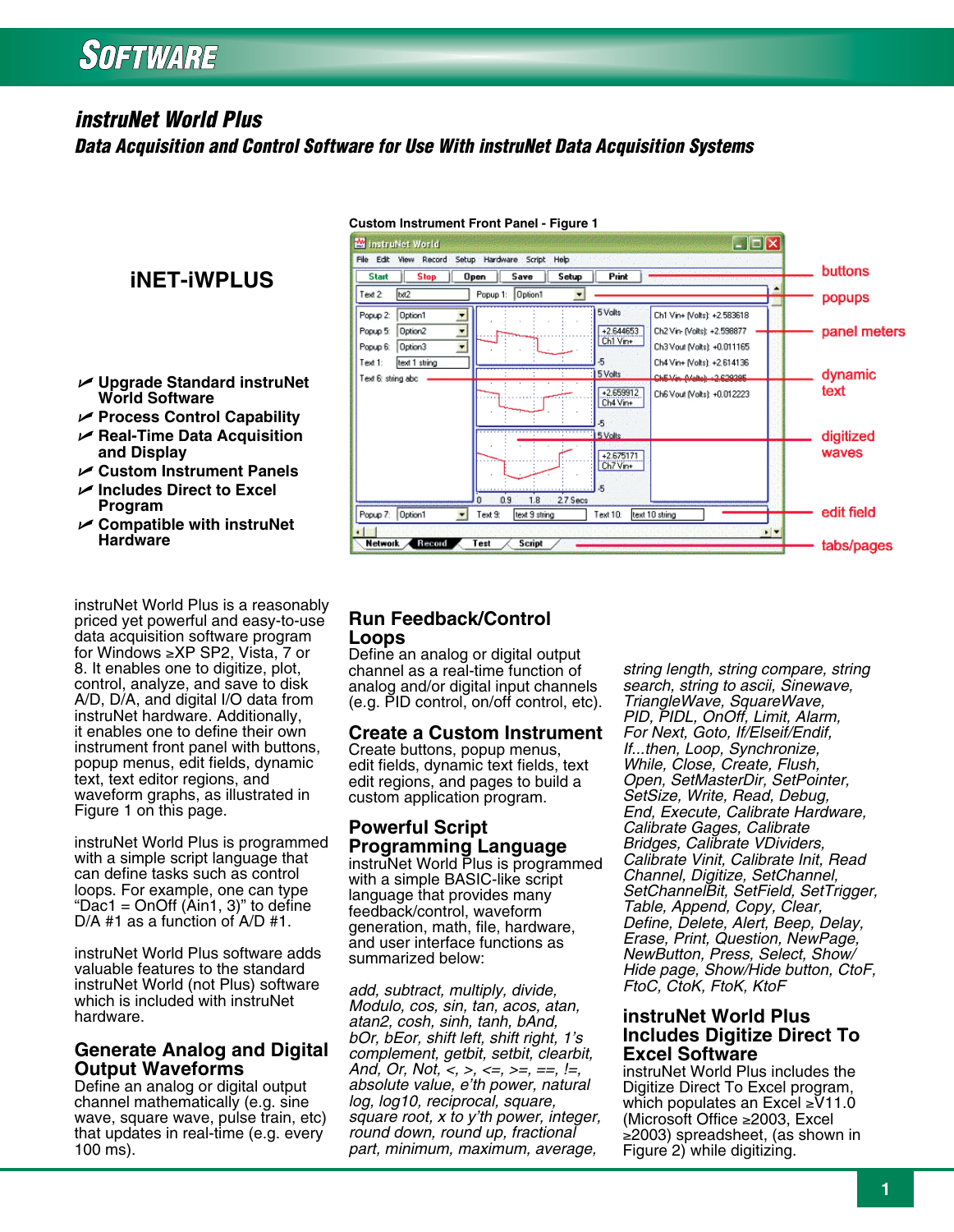# **SOFTWARE**

# *instruNet World Plus*

*Data Acquisition and Control Software for Use With instruNet Data Acquisition Systems*

# **iNET-iWPLUS**

- U **Upgrade Standard instruNet World Software**
- U **Process Control Capability**
- U **Real-Time Data Acquisition and Display**
- U **Custom Instrument Panels**
- U **Includes Direct to Excel Program**
- U **Compatible with instruNet Hardware**

instruNet World Plus is a reasonably priced yet powerful and easy-to-use data acquisition software program for Windows ≥XP SP2, Vista, 7 or 8. It enables one to digitize, plot, control, analyze, and save to disk A/D, D/A, and digital I/O data from instruNet hardware. Additionally, it enables one to define their own instrument front panel with buttons, popup menus, edit fields, dynamic text, text editor regions, and waveform graphs, as illustrated in Figure 1 on this page.

instruNet World Plus is programmed with a simple script language that can define tasks such as control loops. For example, one can type "Dac1 = OnOff (Ain1, 3)" to define D/A #1 as a function of A/D #1.

instruNet World Plus software adds valuable features to the standard instruNet World (not Plus) software which is included with instruNet hardware.

#### **Generate Analog and Digital Output Waveforms**

Define an analog or digital output channel mathematically (e.g. sine wave, square wave, pulse train, etc) that updates in real-time (e.g. every 100 ms).



#### **Custom Instrument Front Panel - Figure 1**

# **Run Feedback/Control Loops**

Define an analog or digital output channel as a real-time function of analog and/or digital input channels (e.g. PID control, on/off control, etc).

#### **Create a Custom Instrument**

Create buttons, popup menus, edit fields, dynamic text fields, text edit regions, and pages to build a custom application program.

# **Powerful Script Programming Language**

instruNet World Plus is programmed with a simple BASIC-like script language that provides many feedback/control, waveform generation, math, file, hardware, and user interface functions as summarized below:

*add, subtract, multiply, divide, Modulo, cos, sin, tan, acos, atan, atan2, cosh, sinh, tanh, bAnd, bOr, bEor, shift left, shift right, 1's complement, getbit, setbit, clearbit, And, Or, Not, <, >, <=, >=, ==, !=, absolute value, e'th power, natural log, log10, reciprocal, square, square root, x to y'th power, integer, round down, round up, fractional part, minimum, maximum, average,* 

*string length, string compare, string search, string to ascii, Sinewave, TriangleWave, SquareWave, PID, PIDL, OnOff, Limit, Alarm, For Next, Goto, If/Elseif/Endif, If...then, Loop, Synchronize, While, Close, Create, Flush, Open, SetMasterDir, SetPointer, SetSize, Write, Read, Debug, End, Execute, Calibrate Hardware, Calibrate Gages, Calibrate Bridges, Calibrate VDividers, Calibrate Vinit, Calibrate Init, Read Channel, Digitize, SetChannel, SetChannelBit, SetField, SetTrigger, Table, Append, Copy, Clear, Define, Delete, Alert, Beep, Delay, Erase, Print, Question, NewPage, NewButton, Press, Select, Show/ Hide page, Show/Hide button, CtoF, FtoC, CtoK, FtoK, KtoF* 

### **instruNet World Plus Includes Digitize Direct To Excel Software**

instruNet World Plus includes the Digitize Direct To Excel program, which populates an Excel ≥V11.0 (Microsoft Office ≥2003, Excel ≥2003) spreadsheet, (as shown in Figure 2) while digitizing.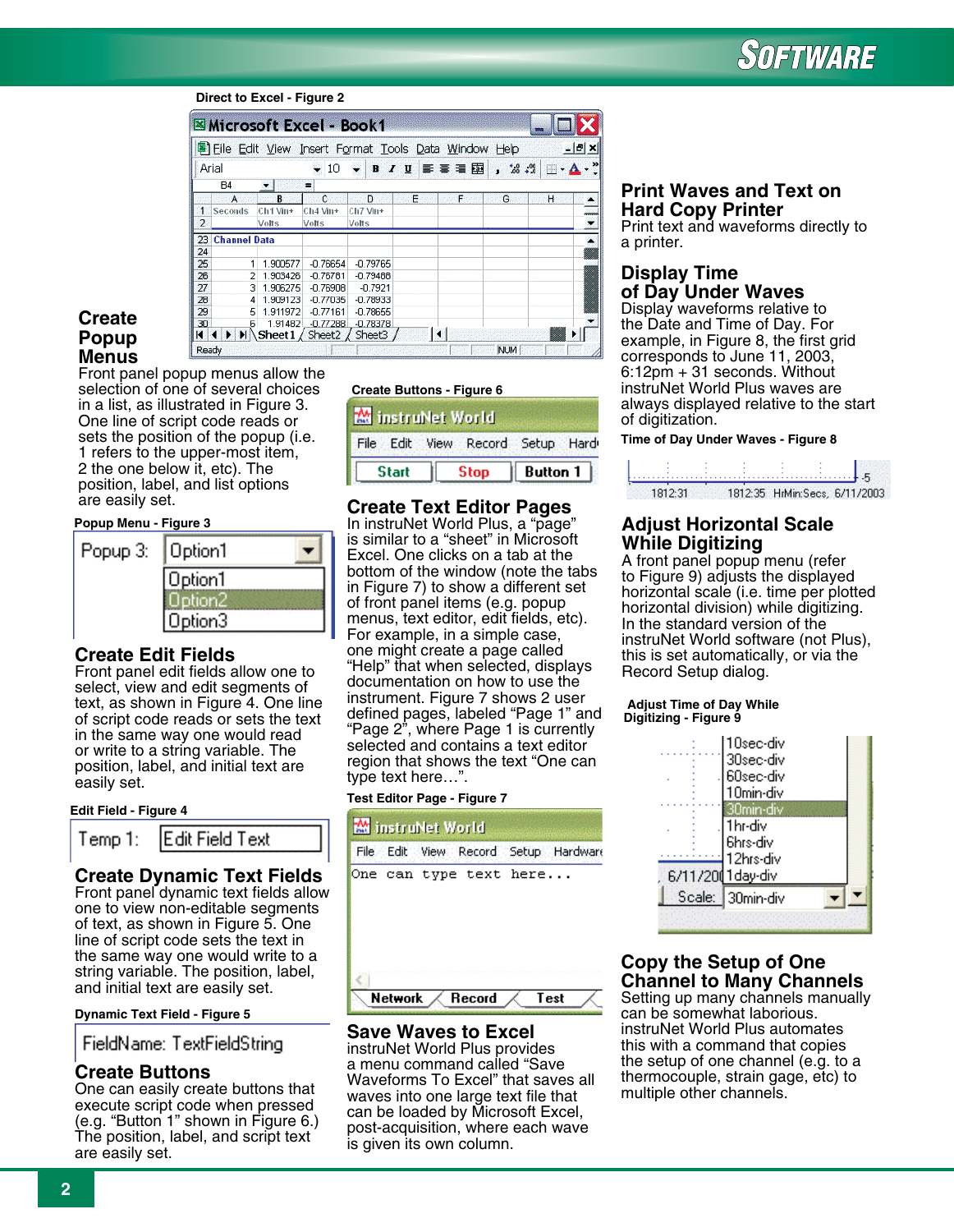# SOFTWARE

#### **Direct to Excel - Figure 2**

|                |                     |          | Microsoft Excel - Book1 |                   |     |                                                       |            |        |
|----------------|---------------------|----------|-------------------------|-------------------|-----|-------------------------------------------------------|------------|--------|
|                |                     |          |                         |                   |     | 图 File Edit View Insert Format Tools Data Window Help |            | $   x$ |
|                | Arial               |          | 10                      | $\mathbf{r}$<br>B | U   | 手写着国                                                  | . 53.2     | œ<br>隅 |
|                | <b>B4</b>           |          | $\blacksquare$          |                   |     |                                                       |            |        |
|                | A                   | в        | C                       | D                 | E - | F                                                     | G          | н      |
| $\mathbf{1}$   | Seconds             | Ch1 Vin+ | Ch4 Vin+                | Ch7 Vin+          |     |                                                       |            | renner |
| $\overline{2}$ |                     | Volts    | Volts                   | Velts             |     |                                                       |            |        |
| 23             | <b>Channel Data</b> |          |                         |                   |     |                                                       |            |        |
| 24             |                     |          |                         |                   |     |                                                       |            | Ħ      |
| 25             |                     | 1.900577 | $-0.76654$              | $-0.79765$        |     |                                                       |            |        |
| 26             | 2                   | 1.903426 | $-0.76781$              | $-0.79488$        |     |                                                       |            |        |
| 27             | з                   | 1.906275 | $-0.76908$              | $-0.7921$         |     |                                                       |            |        |
| 28             |                     | 1.909123 | $-0.77035$              | $-0.78933$        |     |                                                       |            |        |
| 29             | 5                   | 1.911972 | $-0.77161$              | $-0.78655$        |     |                                                       |            |        |
| 30             | հ                   | 1.91482  | $-0.77288$              | $-0.78378$        |     |                                                       |            |        |
| K              |                     | Sheet 1  | Sheet <sub>2</sub>      | Sheet3            |     |                                                       |            |        |
| Ready          |                     |          |                         |                   |     |                                                       | <b>NUM</b> |        |

# **Create Popup Menus**

Front panel popup menus allow the selection of one of several choices in a list, as illustrated in Figure 3. One line of script code reads or sets the position of the popup (i.e. 1 refers to the upper-most item, 2 the one below it, etc). The position, label, and list options are easily set.

#### **Popup Menu - Figure 3**

| Popup 3: | Option1 |
|----------|---------|
|          | Option1 |
|          |         |
|          | Jption3 |

# **Create Edit Fields**

Front panel edit fields allow one to select, view and edit segments of text, as shown in Figure 4. One line of script code reads or sets the text in the same way one would read or write to a string variable. The position, label, and initial text are easily set.

#### **Edit Field - Figure 4**



# **Create Dynamic Text Fields**

Front panel dynamic text fields allow one to view non-editable segments of text, as shown in Figure 5. One line of script code sets the text in the same way one would write to a string variable. The position, label, and initial text are easily set.

#### **Dynamic Text Field - Figure 5**

FieldName: TextFieldString

# **Create Buttons**

One can easily create buttons that execute script code when pressed (e.g. "Button 1" shown in Figure 6.) The position, label, and script text are easily set.

#### **Create Buttons - Figure 6**



# **Create Text Editor Pages**

In instruNet World Plus, a "page" is similar to a "sheet" in Microsoft Excel. One clicks on a tab at the bottom of the window (note the tabs in Figure 7) to show a different set of front panel items (e.g. popup menus, text editor, edit fields, etc). For example, in a simple case, one might create a page called "Help" that when selected, displays documentation on how to use the instrument. Figure 7 shows 2 user defined pages, labeled "Page 1" and "Page 2", where Page 1 is currently selected and contains a text editor region that shows the text "One can type text here…".

#### **Test Editor Page - Figure 7**



### **Save Waves to Excel**

Network

instruNet World Plus provides a menu command called "Save Waveforms To Excel" that saves all waves into one large text file that can be loaded by Microsoft Excel, post-acquisition, where each wave is given its own column.

Record

Test

## **Print Waves and Text on Hard Copy Printer**

Print text and waveforms directly to a printer.

# **Display Time of Day Under Waves**

Display waveforms relative to the Date and Time of Day. For example, in Figure 8, the first grid corresponds to June 11, 2003, 6:12pm + 31 seconds. Without instruNet World Plus waves are always displayed relative to the start of digitization.

#### **Time of Day Under Waves - Figure 8**



# **Adjust Horizontal Scale While Digitizing**

A front panel popup menu (refer to Figure 9) adjusts the displayed horizontal scale (i.e. time per plotted horizontal division) while digitizing. In the standard version of the instruNet World software (not Plus), this is set automatically, or via the Record Setup dialog.

#### **Adjust Time of Day While Digitizing - Figure 9**



### **Copy the Setup of One Channel to Many Channels**

Setting up many channels manually can be somewhat laborious. instruNet World Plus automates this with a command that copies the setup of one channel (e.g. to a thermocouple, strain gage, etc) to multiple other channels.